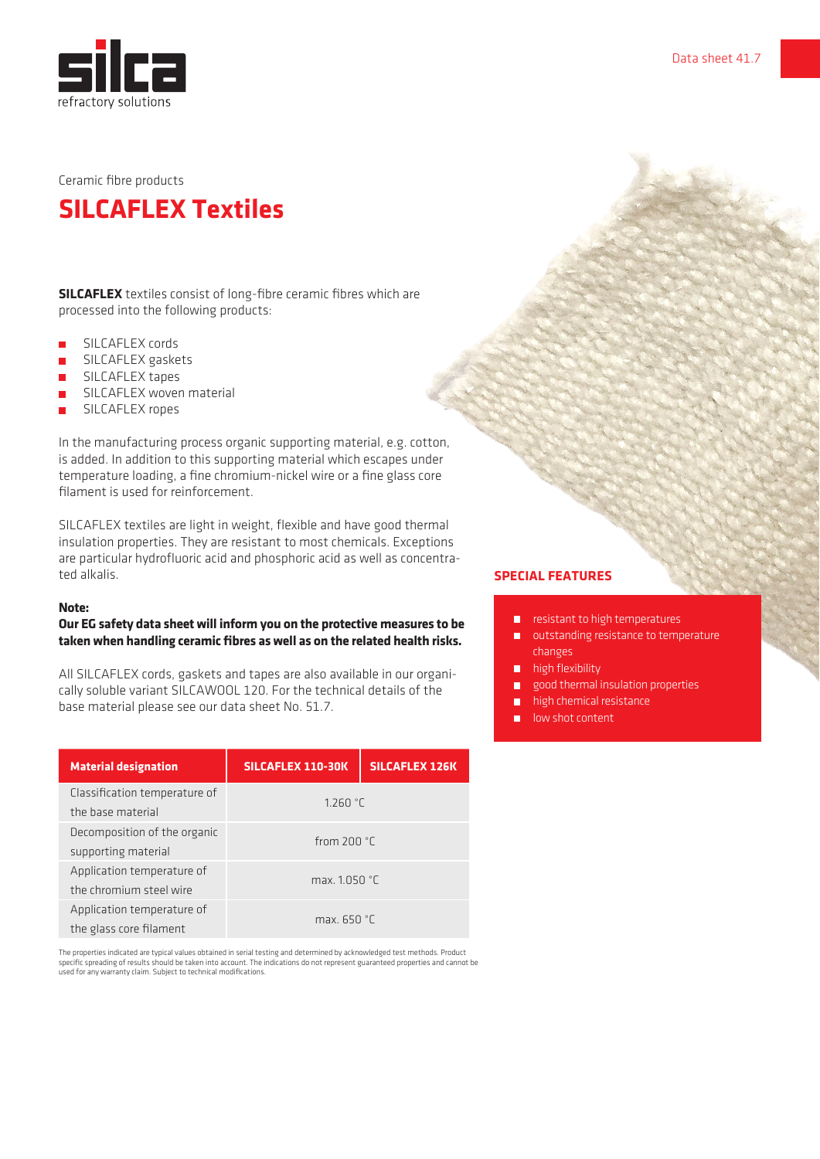

# **SILCAFLEX Textiles**

**SILCAFLEX** textiles consist of long-fibre ceramic fibres which are processed into the following products:

- **B** SILCAFLEX cords
- **B** SILCAFLEX gaskets
- **••** SILCAFLEX tapes
- **B** SILCAFLEX woven material
- **B** SILCAFLEX ropes

In the manufacturing process organic supporting material, e.g. cotton, is added. In addition to this supporting material which escapes under temperature loading, a fine chromium-nickel wire or a fine glass core filament is used for reinforcement.

SILCAFLEX textiles are light in weight, flexible and have good thermal insulation properties. They are resistant to most chemicals. Exceptions are particular hydrofluoric acid and phosphoric acid as well as concentrated alkalis.

#### **Note:**

## **Our EG safety data sheet will inform you on the protective measures to be taken when handling ceramic fibres as well as on the related health risks.**

All SILCAFLEX cords, gaskets and tapes are also available in our organically soluble variant SILCAWOOL 120. For the technical details of the base material please see our data sheet No. 51.7.

| <b>Material designation</b>                           | SILCAFLEX 110-30K | <b>SILCAFLEX 126K</b> |
|-------------------------------------------------------|-------------------|-----------------------|
| Classification temperature of<br>the base material    | 1.260 °C          |                       |
| Decomposition of the organic<br>supporting material   | from $200 °C$     |                       |
| Application temperature of<br>the chromium steel wire | max. 1.050 °C     |                       |
| Application temperature of<br>the glass core filament | max. $650 °C$     |                       |

The properties indicated are typical values obtained in serial testing and determined by acknowledged test methods. Product<br>specific spreading of results should be taken into account. The indications do not represent guara used for any warranty claim. Subject to technical modifications.

### **SPECIAL FEATURES**

- $\blacksquare$  resistant to high temperatures
- **u** outstanding resistance to temperature changes
- **high flexibility**
- good thermal insulation properties
- high chemical resistance
- low shot content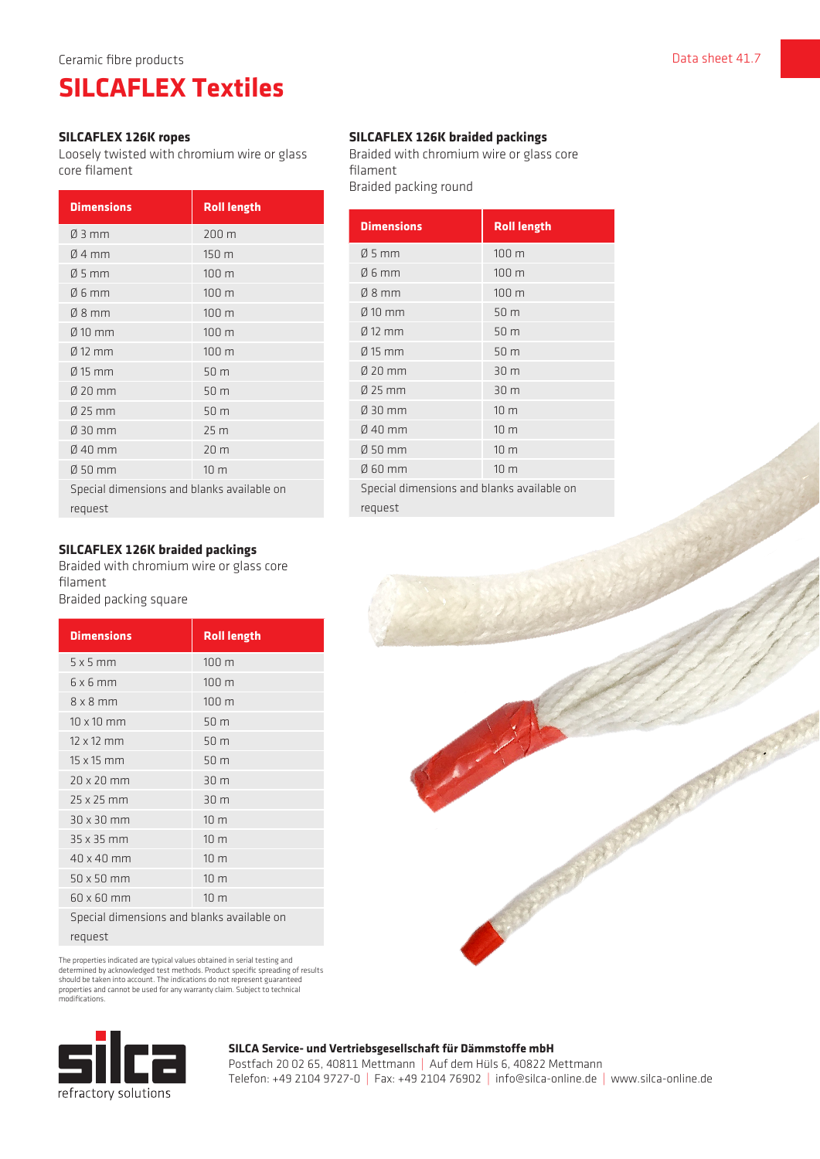# **SILCAFLEX Textiles**

#### **SILCAFLEX 126K ropes**

Loosely twisted with chromium wire or glass core filament

| <b>Dimensions</b>                          | <b>Roll length</b> |  |
|--------------------------------------------|--------------------|--|
| $\varnothing$ 3 mm                         | 200 m              |  |
| $04$ mm                                    | 150 m              |  |
| $\varnothing$ 5 mm                         | 100 m              |  |
| Ø 6 mm                                     | 100 m              |  |
| $08$ mm                                    | 100 m              |  |
| $\varnothing$ 10 mm                        | 100 m              |  |
| $\varnothing$ 12 mm                        | 100 m              |  |
| $\varnothing$ 15 mm                        | 50 m               |  |
| $020$ mm                                   | 50 m               |  |
| $Ø$ 25 mm                                  | 50 m               |  |
| Ø 30 mm                                    | 25 <sub>m</sub>    |  |
| $\emptyset$ 40 mm                          | 20 m               |  |
| $050$ mm                                   | 10 <sub>m</sub>    |  |
| Special dimensions and blanks available on |                    |  |
| request                                    |                    |  |

## **SILCAFLEX 126K braided packings**

Braided with chromium wire or glass core filament Braided packing square

| <b>Dimensions</b>                          | <b>Roll length</b> |
|--------------------------------------------|--------------------|
| $5 \times 5$ mm                            | 100 m              |
| 6x6mm                                      | 100 <sub>m</sub>   |
| $8 \times 8$ mm                            | 100 <sub>m</sub>   |
| $10 \times 10$ mm                          | 50 m               |
| $12 \times 12$ mm                          | 50 m               |
| $15 \times 15$ mm                          | 50 m               |
| $20 \times 20$ mm                          | 30 m               |
| 25 x 25 mm                                 | 30 m               |
| $30 \times 30$ mm                          | 10 <sub>m</sub>    |
| 35 x 35 mm                                 | 10 <sub>m</sub>    |
| 40 x 40 mm                                 | 10 <sub>m</sub>    |
| $50 \times 50$ mm                          | 10 <sub>m</sub>    |
| $60 \times 60$ mm                          | 10 <sub>m</sub>    |
| Special dimensions and blanks available on |                    |

request

The properties indicated are typical values obtained in serial testing and determined by acknowledged test methods. Product specific spreading of results<br>should be taken into account. The indications do not represent guaranteed<br>properties and cannot be used for any warranty claim. Subject to tech modifications.



# **SILCAFLEX 126K braided packings**

Braided with chromium wire or glass core filament Braided packing round

| <b>Roll length</b>                         |  |
|--------------------------------------------|--|
| 100 m                                      |  |
| 100 m                                      |  |
| 100 <sub>m</sub>                           |  |
| 50 m                                       |  |
| 50 m                                       |  |
| 50 <sub>m</sub>                            |  |
| 30 m                                       |  |
| 30 m                                       |  |
| 10 <sub>m</sub>                            |  |
| 10 <sub>m</sub>                            |  |
| 10 <sub>m</sub>                            |  |
| 10 <sub>m</sub>                            |  |
| Special dimensions and blanks available on |  |
| request                                    |  |
|                                            |  |



# **SILCA Service- und Vertriebsgesellschaft für Dämmstoffe mbH**

Postfach 20 02 65, 40811 Mettmann | Auf dem Hüls 6, 40822 Mettmann Telefon: +49 2104 9727-0 | Fax: +49 2104 76902 | info@silca-online.de | www.silca-online.de